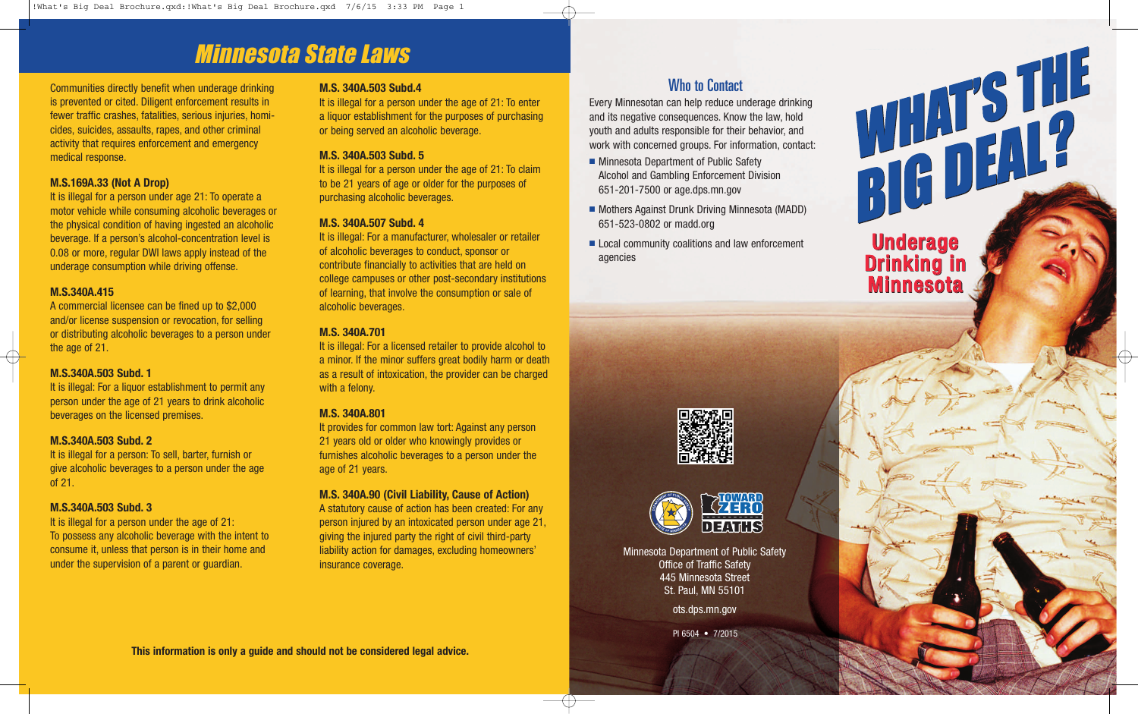## Minnesota State Laws

Communities directly benefit when underage drinking is prevented or cited. Diligent enforcement results in fewer traffic crashes, fatalities, serious injuries, homicides, suicides, assaults, rapes, and other criminal activity that requires enforcement and emergency medical response.

### **M.S.169A.33 (Not A Drop)**

It is illegal for a person under age 21: To operate a motor vehicle while consuming alcoholic beverages or the physical condition of having ingested an alcoholic beverage. If a person's alcohol-concentration level is 0.08 or more, regular DWI laws apply instead of the underage consumption while driving offense.

### **M.S.340A.415**

A commercial licensee can be fined up to \$2,000 and/or license suspension or revocation, for selling or distributing alcoholic beverages to a person under the age of 21.

### **M.S.340A.503 Subd. 1**

It is illegal: For a liquor establishment to permit any person under the age of 21 years to drink alcoholic beverages on the licensed premises.

### **M.S.340A.503 Subd. 2**

It is illegal for a person: To sell, barter, furnish or give alcoholic beverages to a person under the age of 21.

### **M.S.340A.503 Subd. 3**

It is illegal for a person under the age of 21: To possess any alcoholic beverage with the intent to consume it, unless that person is in their home and under the supervision of a parent or guardian.

### **M.S. 340A.503 Subd.4**

It is illegal for a person under the age of 21: To enter a liquor establishment for the purposes of purchasing or being served an alcoholic beverage.

### **M.S. 340A.503 Subd. 5**

It is illegal for a person under the age of 21: To claim to be 21 years of age or older for the purposes of purchasing alcoholic beverages.

### **M.S. 340A.507 Subd. 4**

It is illegal: For a manufacturer, wholesaler or retailer of alcoholic beverages to conduct, sponsor or contribute financially to activities that are held on college campuses or other post-secondary institutions of learning, that involve the consumption or sale of alcoholic beverages.

### **M.S. 340A.701**

It is illegal: For a licensed retailer to provide alcohol to a minor. If the minor suffers great bodily harm or death as a result of intoxication, the provider can be charged with a felony.

#### **M.S. 340A.801**

It provides for common law tort: Against any person 21 years old or older who knowingly provides or furnishes alcoholic beverages to a person under the age of 21 years.

#### **M.S. 340A.90 (Civil Liability, Cause of Action)**

A statutory cause of action has been created: For any person injured by an intoxicated person under age 21, giving the injured party the right of civil third-party liability action for damages, excluding homeowners' insurance coverage.

## Who to Contact

Every Minnesotan can help reduce underage drinking<br>and its negative consequences. Know the law, hold<br>youth and adults responsible for their behavior, and<br>work with concerned groups. For information, contact:<br>Alcohol and Ga and its negative consequences. Know the law, hold youth and adults responsible for their behavior, and work with concerned groups. For information, contact:

- Minnesota Department of Public Safety Alcohol and Gambling Enforcement Division 651-201-7500 or age.dps.mn.gov
- Mothers Against Drunk Driving Minnesota (MADD) 651-523-0802 or madd.org
- Local community coalitions and law enforcement agencies

# Underage Underage Drinking in Drinking in Minnesota Minnesota



Minnesota Department of Public Safety Office of Traffic Safety 445 Minnesota Street St. Paul, MN 55101

<ots.dps.mn.gov>

PI 6504 • 7/2015